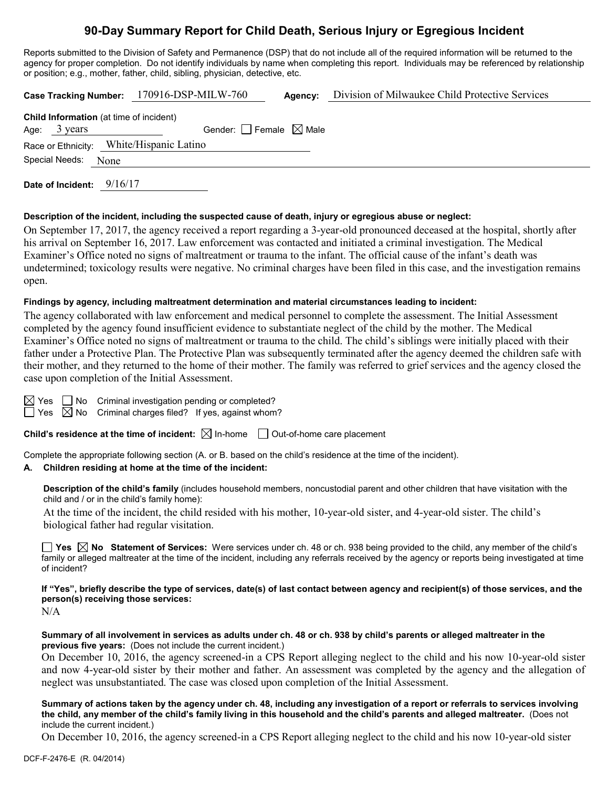# **90-Day Summary Report for Child Death, Serious Injury or Egregious Incident**

Reports submitted to the Division of Safety and Permanence (DSP) that do not include all of the required information will be returned to the agency for proper completion. Do not identify individuals by name when completing this report. Individuals may be referenced by relationship or position; e.g., mother, father, child, sibling, physician, detective, etc.

| Case Tracking Number: 170916-DSP-MILW-760 |                     |                                                |                                 | Agency: | Division of Milwaukee Child Protective Services |  |  |
|-------------------------------------------|---------------------|------------------------------------------------|---------------------------------|---------|-------------------------------------------------|--|--|
|                                           |                     | <b>Child Information</b> (at time of incident) |                                 |         |                                                 |  |  |
|                                           |                     | Age: $3 \text{ years}$                         | Gender: Female $\boxtimes$ Male |         |                                                 |  |  |
| Race or Ethnicity: White/Hispanic Latino  |                     |                                                |                                 |         |                                                 |  |  |
|                                           | Special Needs: None |                                                |                                 |         |                                                 |  |  |
|                                           |                     |                                                |                                 |         |                                                 |  |  |

**Date of Incident:** 9/16/17

#### **Description of the incident, including the suspected cause of death, injury or egregious abuse or neglect:**

On September 17, 2017, the agency received a report regarding a 3-year-old pronounced deceased at the hospital, shortly after his arrival on September 16, 2017. Law enforcement was contacted and initiated a criminal investigation. The Medical Examiner's Office noted no signs of maltreatment or trauma to the infant. The official cause of the infant's death was undetermined; toxicology results were negative. No criminal charges have been filed in this case, and the investigation remains open.

# **Findings by agency, including maltreatment determination and material circumstances leading to incident:**

The agency collaborated with law enforcement and medical personnel to complete the assessment. The Initial Assessment completed by the agency found insufficient evidence to substantiate neglect of the child by the mother. The Medical Examiner's Office noted no signs of maltreatment or trauma to the child. The child's siblings were initially placed with their father under a Protective Plan. The Protective Plan was subsequently terminated after the agency deemed the children safe with their mother, and they returned to the home of their mother. The family was referred to grief services and the agency closed the case upon completion of the Initial Assessment.

| es |  |
|----|--|
| es |  |

 $\sqrt{ }$  No Criminal investigation pending or completed?

 $\sqrt{2}$  No  $\,$  Criminal charges filed? If yes, against whom?

**Child's residence at the time of incident:**  $\boxtimes$  In-home  $\Box$  Out-of-home care placement

Complete the appropriate following section (A. or B. based on the child's residence at the time of the incident).

# **A. Children residing at home at the time of the incident:**

**Description of the child's family** (includes household members, noncustodial parent and other children that have visitation with the child and / or in the child's family home):

At the time of the incident, the child resided with his mother, 10-year-old sister, and 4-year-old sister. The child's biological father had regular visitation.

**Yes No Statement of Services:** Were services under ch. 48 or ch. 938 being provided to the child, any member of the child's family or alleged maltreater at the time of the incident, including any referrals received by the agency or reports being investigated at time of incident?

**If "Yes", briefly describe the type of services, date(s) of last contact between agency and recipient(s) of those services, and the person(s) receiving those services:**

N/A

#### **Summary of all involvement in services as adults under ch. 48 or ch. 938 by child's parents or alleged maltreater in the previous five years:** (Does not include the current incident.)

On December 10, 2016, the agency screened-in a CPS Report alleging neglect to the child and his now 10-year-old sister and now 4-year-old sister by their mother and father. An assessment was completed by the agency and the allegation of neglect was unsubstantiated. The case was closed upon completion of the Initial Assessment.

**Summary of actions taken by the agency under ch. 48, including any investigation of a report or referrals to services involving the child, any member of the child's family living in this household and the child's parents and alleged maltreater.** (Does not include the current incident.)

On December 10, 2016, the agency screened-in a CPS Report alleging neglect to the child and his now 10-year-old sister